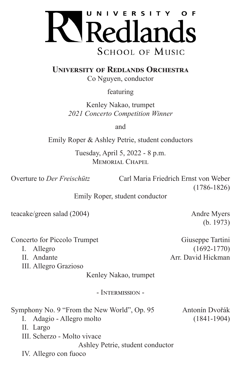

**University of Redlands Orchestra**

Co Nguyen, conductor

featuring

Kenley Nakao, trumpet *2021 Concerto Competition Winner*

and

Emily Roper & Ashley Petrie, student conductors

Tuesday, April 5, 2022 - 8 p.m. MEMORIAL CHAPEL

Overture to *Der Freischütz* Carl Maria Friedrich Ernst von Weber (1786-1826)

Emily Roper, student conductor

teacake/green salad (2004) Andre Myers

(b. 1973)

Concerto for Piccolo Trumpet Giuseppe Tartini

III. Allegro Grazioso

Kenley Nakao, trumpet

- Intermission -

Symphony No. 9 "From the New World", Op. 95 Antonín Dvořák

I. Adagio - Allegro molto (1841-1904)

II. Largo

III. Scherzo - Molto vivace

Ashley Petrie, student conductor

IV. Allegro con fuoco

I. Allegro (1692-1770) II. Andante Arr. David Hickman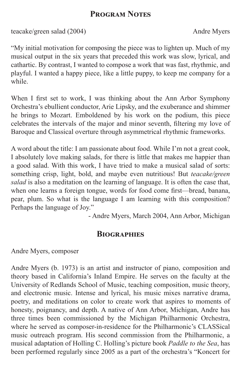### **Program Notes**

teacake/green salad (2004) Andre Myers

"My initial motivation for composing the piece was to lighten up. Much of my musical output in the six years that preceded this work was slow, lyrical, and cathartic. By contrast, I wanted to compose a work that was fast, rhythmic, and playful. I wanted a happy piece, like a little puppy, to keep me company for a while.

When I first set to work, I was thinking about the Ann Arbor Symphony Orchestra's ebullient conductor, Arie Lipsky, and the exuberance and shimmer he brings to Mozart. Emboldened by his work on the podium, this piece celebrates the intervals of the major and minor seventh, filtering my love of Baroque and Classical overture through asymmetrical rhythmic frameworks.

A word about the title: I am passionate about food. While I'm not a great cook, I absolutely love making salads, for there is little that makes me happier than a good salad. With this work, I have tried to make a musical salad of sorts: something crisp, light, bold, and maybe even nutritious! But *teacake/green salad* is also a meditation on the learning of language. It is often the case that, when one learns a foreign tongue, words for food come first—bread, banana, pear, plum. So what is the language I am learning with this composition? Perhaps the language of Joy."

- Andre Myers, March 2004, Ann Arbor, Michigan

#### **Biographies**

Andre Myers, composer

Andre Myers (b. 1973) is an artist and instructor of piano, composition and theory based in California's Inland Empire. He serves on the faculty at the University of Redlands School of Music, teaching composition, music theory, and electronic music. Intense and lyrical, his music mixes narrative drama, poetry, and meditations on color to create work that aspires to moments of honesty, poignancy, and depth. A native of Ann Arbor, Michigan, Andre has three times been commissioned by the Michigan Philharmonic Orchestra, where he served as composer-in-residence for the Philharmonic's CLASSical music outreach program. His second commission from the Philharmonic, a musical adaptation of Holling C. Holling's picture book *Paddle to the Sea*, has been performed regularly since 2005 as a part of the orchestra's "Koncert for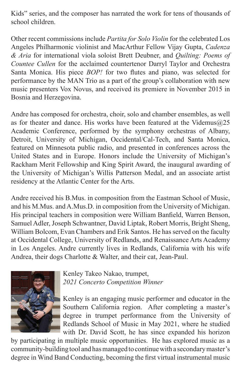Kids" series, and the composer has narrated the work for tens of thousands of school children.

Other recent commissions include *Partita for Solo Violin* for the celebrated Los Angeles Philharmonic violinist and MacArthur Fellow Vijay Gupta, *Cadenza & Aria* for international viola soloist Brett Deubner, and *Quilting: Poems of Countee Cullen* for the acclaimed countertenor Darryl Taylor and Orchestra Santa Monica. His piece *BOP!* for two flutes and piano, was selected for performance by the MAN Trio as a part of the group's collaboration with new music presenters Vox Novus, and received its premiere in November 2015 in Bosnia and Herzegovina.

Andre has composed for orchestra, choir, solo and chamber ensembles, as well as for theater and dance. His works have been featured at the Videmus $@25$ Academic Conference, performed by the symphony orchestras of Albany, Detroit, University of Michigan, Occidental/Cal-Tech, and Santa Monica, featured on Minnesota public radio, and presented in conferences across the United States and in Europe. Honors include the University of Michigan's Rackham Merit Fellowship and King Spirit Award, the inaugural awarding of the University of Michigan's Willis Patterson Medal, and an associate artist residency at the Atlantic Center for the Arts.

Andre received his B.Mus. in composition from the Eastman School of Music, and his M.Mus. and A.Mus.D. in composition from the University of Michigan. His principal teachers in composition were William Banfield, Warren Benson, Samuel Adler, Joseph Schwantner, David Liptak, Robert Morris, Bright Sheng, William Bolcom, Evan Chambers and Erik Santos. He has served on the faculty at Occidental College, University of Redlands, and Renaissance Arts Academy in Los Angeles. Andre currently lives in Redlands, California with his wife Andrea, their dogs Charlotte & Walter, and their cat, Jean-Paul.



Kenley Takeo Nakao, trumpet, *2021 Concerto Competition Winner*

Kenley is an engaging music performer and educator in the Southern California region. After completing a master's degree in trumpet performance from the University of Redlands School of Music in May 2021, where he studied with Dr. David Scott, he has since expanded his horizon

by participating in multiple music opportunities. He has explored music as a community-building tool and has managed to continue with a secondary master's degree in Wind Band Conducting, becoming the first virtual instrumental music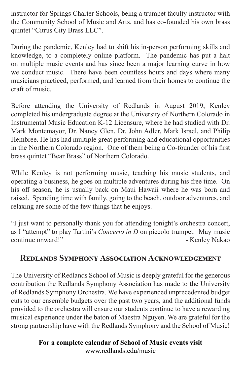instructor for Springs Charter Schools, being a trumpet faculty instructor with the Community School of Music and Arts, and has co-founded his own brass quintet "Citrus City Brass LLC".

During the pandemic, Kenley had to shift his in-person performing skills and knowledge, to a completely online platform. The pandemic has put a halt on multiple music events and has since been a major learning curve in how we conduct music. There have been countless hours and days where many musicians practiced, performed, and learned from their homes to continue the craft of music.

Before attending the University of Redlands in August 2019, Kenley completed his undergraduate degree at the University of Northern Colorado in Instrumental Music Education K-12 Licensure, where he had studied with Dr. Mark Montemayor, Dr. Nancy Glen, Dr. John Adler, Mark Israel, and Philip Hembree. He has had multiple great performing and educational opportunities in the Northern Colorado region. One of them being a Co-founder of his first brass quintet "Bear Brass" of Northern Colorado.

While Kenley is not performing music, teaching his music students, and operating a business, he goes on multiple adventures during his free time. On his off season, he is usually back on Maui Hawaii where he was born and raised. Spending time with family, going to the beach, outdoor adventures, and relaxing are some of the few things that he enjoys.

"I just want to personally thank you for attending tonight's orchestra concert, as I "attempt" to play Tartini's *Concerto in D* on piccolo trumpet. May music continue onward!"  $-$  Kenley Nakao

## **Redlands Symphony Association Acknowledgement**

The University of Redlands School of Music is deeply grateful for the generous contribution the Redlands Symphony Association has made to the University of Redlands Symphony Orchestra. We have experienced unprecedented budget cuts to our ensemble budgets over the past two years, and the additional funds provided to the orchestra will ensure our students continue to have a rewarding musical experience under the baton of Maestra Nguyen. We are grateful for the strong partnership have with the Redlands Symphony and the School of Music!

> **For a complete calendar of School of Music events visit** www.redlands.edu/music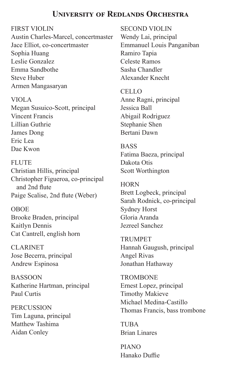### **University of Redlands Orchestra**

FIRST VIOLIN

Austin Charles-Marcel, concertmaster Jace Elliot, co-concertmaster Sophia Huang Leslie Gonzalez Emma Sandbothe Steve Huber Armen Mangasaryan

VIOLA Megan Susuico-Scott, principal Vincent Francis Lillian Guthrie James Dong Eric Lea Dae Kwon

FLUTE Christian Hillis, principal Christopher Figueroa, co-principal and 2nd flute Paige Scalise, 2nd flute (Weber)

OBOE Brooke Braden, principal Kaitlyn Dennis Cat Cantrell, english horn

CLARINET Jose Becerra, principal Andrew Espinosa

BASSOON Katherine Hartman, principal Paul Curtis

**PERCUSSION** Tim Laguna, principal Matthew Tashima Aidan Conley

SECOND VIOLIN Wendy Lai, principal Emmanuel Louis Panganiban Ramiro Tapia Celeste Ramos Sasha Chandler Alexander Knecht

CELLO Anne Ragni, principal Jessica Ball Abigail Rodriguez Stephanie Shen Bertani Dawn

**BASS** Fatima Baeza, principal Dakota Otis Scott Worthington

**HORN** Brett Logbeck, principal Sarah Rodnick, co-principal Sydney Horst Gloria Aranda Jezreel Sanchez

TRUMPET Hannah Gaugush, principal Angel Rivas Jonathan Hathaway

**TROMBONE** Ernest Lopez, principal Timothy Makieve Michael Medina-Castillo Thomas Francis, bass trombone

**TUBA** Brian Linares

PIANO Hanako Duffie